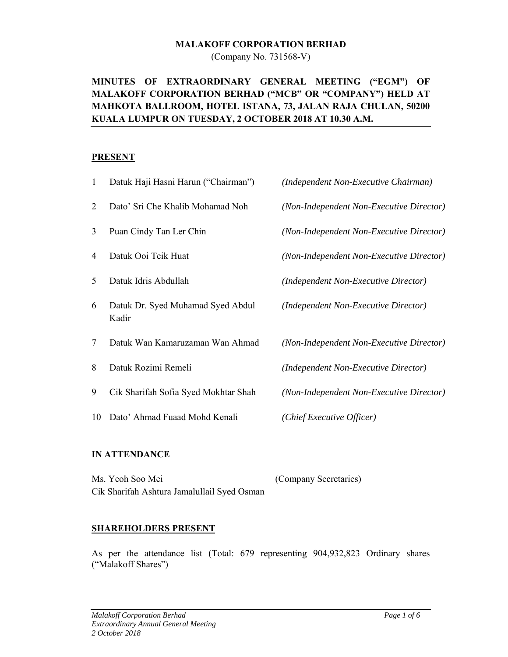#### **MALAKOFF CORPORATION BERHAD**

(Company No. 731568-V)

# **MINUTES OF EXTRAORDINARY GENERAL MEETING ("EGM") OF MALAKOFF CORPORATION BERHAD ("MCB" OR "COMPANY") HELD AT MAHKOTA BALLROOM, HOTEL ISTANA, 73, JALAN RAJA CHULAN, 50200 KUALA LUMPUR ON TUESDAY, 2 OCTOBER 2018 AT 10.30 A.M.**

## **PRESENT**

| 1  | Datuk Haji Hasni Harun ("Chairman")        | (Independent Non-Executive Chairman)     |
|----|--------------------------------------------|------------------------------------------|
| 2  | Dato' Sri Che Khalib Mohamad Noh           | (Non-Independent Non-Executive Director) |
| 3  | Puan Cindy Tan Ler Chin                    | (Non-Independent Non-Executive Director) |
| 4  | Datuk Ooi Teik Huat                        | (Non-Independent Non-Executive Director) |
| 5  | Datuk Idris Abdullah                       | (Independent Non-Executive Director)     |
| 6  | Datuk Dr. Syed Muhamad Syed Abdul<br>Kadir | (Independent Non-Executive Director)     |
| 7  | Datuk Wan Kamaruzaman Wan Ahmad            | (Non-Independent Non-Executive Director) |
| 8  | Datuk Rozimi Remeli                        | (Independent Non-Executive Director)     |
| 9  | Cik Sharifah Sofia Syed Mokhtar Shah       | (Non-Independent Non-Executive Director) |
| 10 | Dato' Ahmad Fuaad Mohd Kenali              | (Chief Executive Officer)                |

## **IN ATTENDANCE**

| Ms. Yeoh Soo Mei                            | (Company Secretaries) |
|---------------------------------------------|-----------------------|
| Cik Sharifah Ashtura Jamalullail Syed Osman |                       |

## **SHAREHOLDERS PRESENT**

As per the attendance list (Total: 679 representing 904,932,823 Ordinary shares ("Malakoff Shares")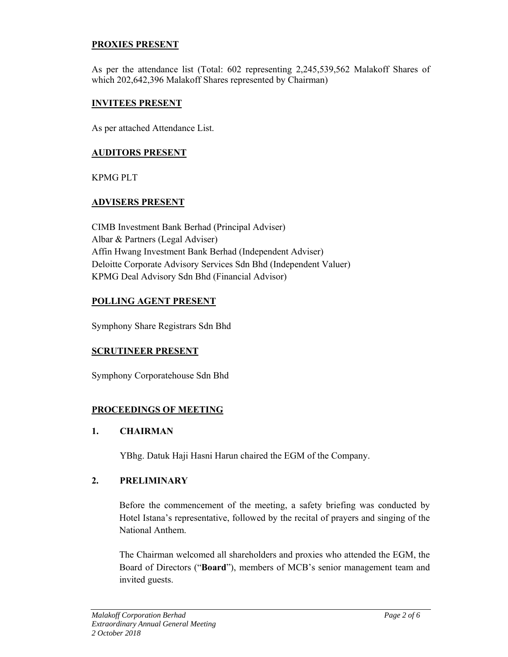## **PROXIES PRESENT**

As per the attendance list (Total: 602 representing 2,245,539,562 Malakoff Shares of which 202,642,396 Malakoff Shares represented by Chairman)

## **INVITEES PRESENT**

As per attached Attendance List.

## **AUDITORS PRESENT**

KPMG PLT

## **ADVISERS PRESENT**

CIMB Investment Bank Berhad (Principal Adviser) Albar & Partners (Legal Adviser) Affin Hwang Investment Bank Berhad (Independent Adviser) Deloitte Corporate Advisory Services Sdn Bhd (Independent Valuer) KPMG Deal Advisory Sdn Bhd (Financial Advisor)

## **POLLING AGENT PRESENT**

Symphony Share Registrars Sdn Bhd

## **SCRUTINEER PRESENT**

Symphony Corporatehouse Sdn Bhd

## **PROCEEDINGS OF MEETING**

## **1. CHAIRMAN**

YBhg. Datuk Haji Hasni Harun chaired the EGM of the Company.

## **2. PRELIMINARY**

Before the commencement of the meeting, a safety briefing was conducted by Hotel Istana's representative, followed by the recital of prayers and singing of the National Anthem.

The Chairman welcomed all shareholders and proxies who attended the EGM, the Board of Directors ("**Board**"), members of MCB's senior management team and invited guests.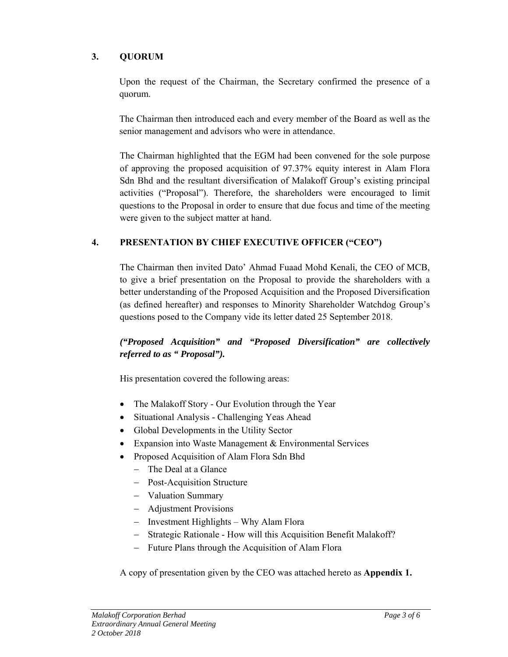# **3. QUORUM**

Upon the request of the Chairman, the Secretary confirmed the presence of a quorum.

The Chairman then introduced each and every member of the Board as well as the senior management and advisors who were in attendance.

The Chairman highlighted that the EGM had been convened for the sole purpose of approving the proposed acquisition of 97.37% equity interest in Alam Flora Sdn Bhd and the resultant diversification of Malakoff Group's existing principal activities ("Proposal"). Therefore, the shareholders were encouraged to limit questions to the Proposal in order to ensure that due focus and time of the meeting were given to the subject matter at hand.

## **4. PRESENTATION BY CHIEF EXECUTIVE OFFICER ("CEO")**

 The Chairman then invited Dato' Ahmad Fuaad Mohd Kenali, the CEO of MCB, to give a brief presentation on the Proposal to provide the shareholders with a better understanding of the Proposed Acquisition and the Proposed Diversification (as defined hereafter) and responses to Minority Shareholder Watchdog Group's questions posed to the Company vide its letter dated 25 September 2018.

# *("Proposed Acquisition" and "Proposed Diversification" are collectively referred to as " Proposal").*

His presentation covered the following areas:

- The Malakoff Story Our Evolution through the Year
- Situational Analysis Challenging Yeas Ahead
- Global Developments in the Utility Sector
- Expansion into Waste Management & Environmental Services
- Proposed Acquisition of Alam Flora Sdn Bhd
	- The Deal at a Glance
	- Post-Acquisition Structure
	- Valuation Summary
	- Adjustment Provisions
	- Investment Highlights Why Alam Flora
	- Strategic Rationale How will this Acquisition Benefit Malakoff?
	- Future Plans through the Acquisition of Alam Flora

A copy of presentation given by the CEO was attached hereto as **Appendix 1.**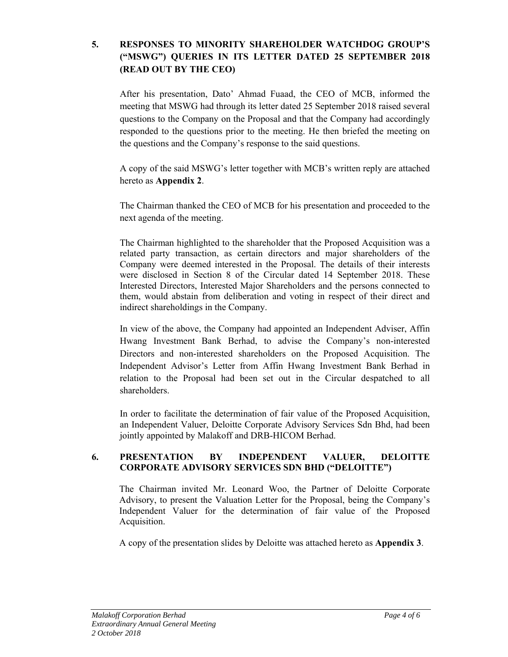# **5. RESPONSES TO MINORITY SHAREHOLDER WATCHDOG GROUP'S ("MSWG") QUERIES IN ITS LETTER DATED 25 SEPTEMBER 2018 (READ OUT BY THE CEO)**

 After his presentation, Dato' Ahmad Fuaad, the CEO of MCB, informed the meeting that MSWG had through its letter dated 25 September 2018 raised several questions to the Company on the Proposal and that the Company had accordingly responded to the questions prior to the meeting. He then briefed the meeting on the questions and the Company's response to the said questions.

A copy of the said MSWG's letter together with MCB's written reply are attached hereto as **Appendix 2**.

The Chairman thanked the CEO of MCB for his presentation and proceeded to the next agenda of the meeting.

The Chairman highlighted to the shareholder that the Proposed Acquisition was a related party transaction, as certain directors and major shareholders of the Company were deemed interested in the Proposal. The details of their interests were disclosed in Section 8 of the Circular dated 14 September 2018. These Interested Directors, Interested Major Shareholders and the persons connected to them, would abstain from deliberation and voting in respect of their direct and indirect shareholdings in the Company.

In view of the above, the Company had appointed an Independent Adviser, Affin Hwang Investment Bank Berhad, to advise the Company's non-interested Directors and non-interested shareholders on the Proposed Acquisition. The Independent Advisor's Letter from Affin Hwang Investment Bank Berhad in relation to the Proposal had been set out in the Circular despatched to all shareholders.

In order to facilitate the determination of fair value of the Proposed Acquisition, an Independent Valuer, Deloitte Corporate Advisory Services Sdn Bhd, had been jointly appointed by Malakoff and DRB-HICOM Berhad.

## **6. PRESENTATION BY INDEPENDENT VALUER, DELOITTE CORPORATE ADVISORY SERVICES SDN BHD ("DELOITTE")**

The Chairman invited Mr. Leonard Woo, the Partner of Deloitte Corporate Advisory, to present the Valuation Letter for the Proposal, being the Company's Independent Valuer for the determination of fair value of the Proposed Acquisition.

A copy of the presentation slides by Deloitte was attached hereto as **Appendix 3**.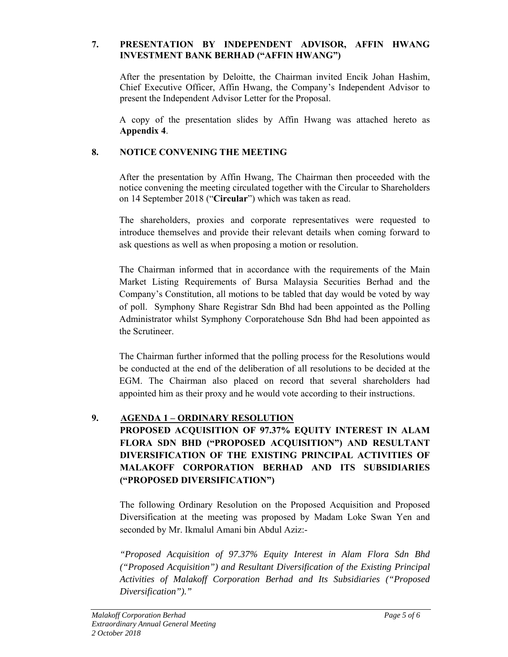## **7. PRESENTATION BY INDEPENDENT ADVISOR, AFFIN HWANG INVESTMENT BANK BERHAD ("AFFIN HWANG")**

After the presentation by Deloitte, the Chairman invited Encik Johan Hashim, Chief Executive Officer, Affin Hwang, the Company's Independent Advisor to present the Independent Advisor Letter for the Proposal.

A copy of the presentation slides by Affin Hwang was attached hereto as **Appendix 4**.

# **8. NOTICE CONVENING THE MEETING**

 After the presentation by Affin Hwang, The Chairman then proceeded with the notice convening the meeting circulated together with the Circular to Shareholders on 14 September 2018 ("**Circular**") which was taken as read.

The shareholders, proxies and corporate representatives were requested to introduce themselves and provide their relevant details when coming forward to ask questions as well as when proposing a motion or resolution.

The Chairman informed that in accordance with the requirements of the Main Market Listing Requirements of Bursa Malaysia Securities Berhad and the Company's Constitution, all motions to be tabled that day would be voted by way of poll. Symphony Share Registrar Sdn Bhd had been appointed as the Polling Administrator whilst Symphony Corporatehouse Sdn Bhd had been appointed as the Scrutineer.

The Chairman further informed that the polling process for the Resolutions would be conducted at the end of the deliberation of all resolutions to be decided at the EGM. The Chairman also placed on record that several shareholders had appointed him as their proxy and he would vote according to their instructions.

## **9. AGENDA 1 – ORDINARY RESOLUTION**

# **PROPOSED ACQUISITION OF 97.37% EQUITY INTEREST IN ALAM FLORA SDN BHD ("PROPOSED ACQUISITION") AND RESULTANT DIVERSIFICATION OF THE EXISTING PRINCIPAL ACTIVITIES OF MALAKOFF CORPORATION BERHAD AND ITS SUBSIDIARIES ("PROPOSED DIVERSIFICATION")**

The following Ordinary Resolution on the Proposed Acquisition and Proposed Diversification at the meeting was proposed by Madam Loke Swan Yen and seconded by Mr. Ikmalul Amani bin Abdul Aziz:-

*"Proposed Acquisition of 97.37% Equity Interest in Alam Flora Sdn Bhd ("Proposed Acquisition") and Resultant Diversification of the Existing Principal Activities of Malakoff Corporation Berhad and Its Subsidiaries ("Proposed Diversification")."*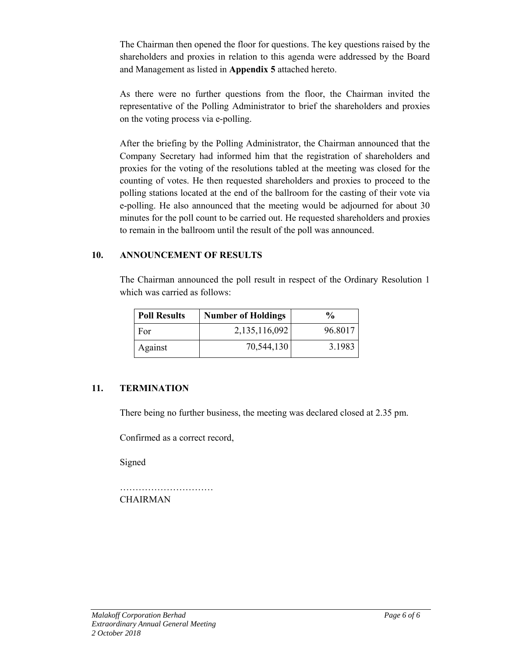The Chairman then opened the floor for questions. The key questions raised by the shareholders and proxies in relation to this agenda were addressed by the Board and Management as listed in **Appendix 5** attached hereto.

 As there were no further questions from the floor, the Chairman invited the representative of the Polling Administrator to brief the shareholders and proxies on the voting process via e-polling.

After the briefing by the Polling Administrator, the Chairman announced that the Company Secretary had informed him that the registration of shareholders and proxies for the voting of the resolutions tabled at the meeting was closed for the counting of votes. He then requested shareholders and proxies to proceed to the polling stations located at the end of the ballroom for the casting of their vote via e-polling. He also announced that the meeting would be adjourned for about 30 minutes for the poll count to be carried out. He requested shareholders and proxies to remain in the ballroom until the result of the poll was announced.

## **10. ANNOUNCEMENT OF RESULTS**

 The Chairman announced the poll result in respect of the Ordinary Resolution 1 which was carried as follows:

| <b>Poll Results</b> | <b>Number of Holdings</b> | $\frac{1}{2}$ |
|---------------------|---------------------------|---------------|
| For                 | 2,135,116,092             | 96.8017       |
| Against             | 70,544,130                | 3.1983        |

## **11. TERMINATION**

There being no further business, the meeting was declared closed at 2.35 pm.

Confirmed as a correct record,

Signed

………………………… **CHAIRMAN**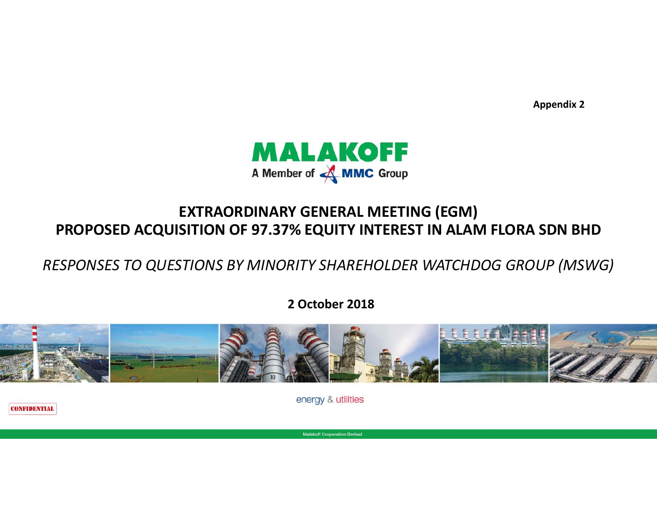

# **EXTRAORDINARY GENERAL MEETING (EGM) PROPOSED ACQUISITION OF 97.37% EQUITY INTEREST IN ALAM FLORA SDN BHD**

*RESPONSES TO QUESTIONS BY MINORITY SHAREHOLDER WATCHDOG GROUP (MSWG)*

**2 October 2018**



energy & utilities

**CONFIDENTIAL** 

**Malakoff Corporation Berhad**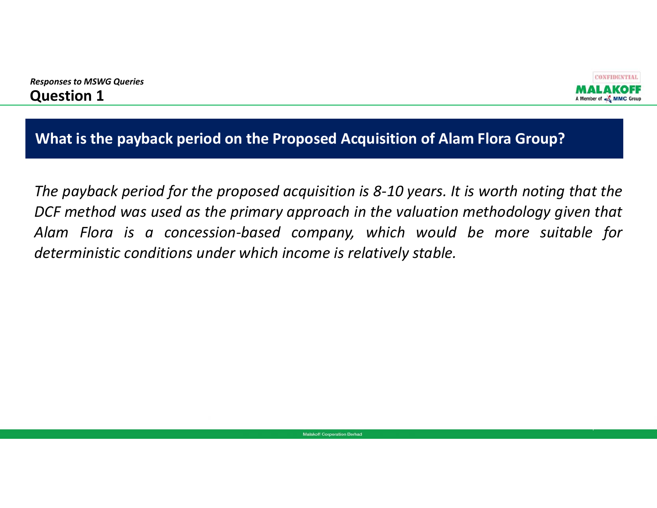



1

**What is the payback period on the Proposed Acquisition of Alam Flora Group?**

The payback period for the proposed acquisition is 8-10 years. It is worth noting that the DCF method was used as the primary approach in the valuation methodology given that Alam Flora is a concession-based company, which would be more suitable for *deterministic conditions under which income is relatively stable.*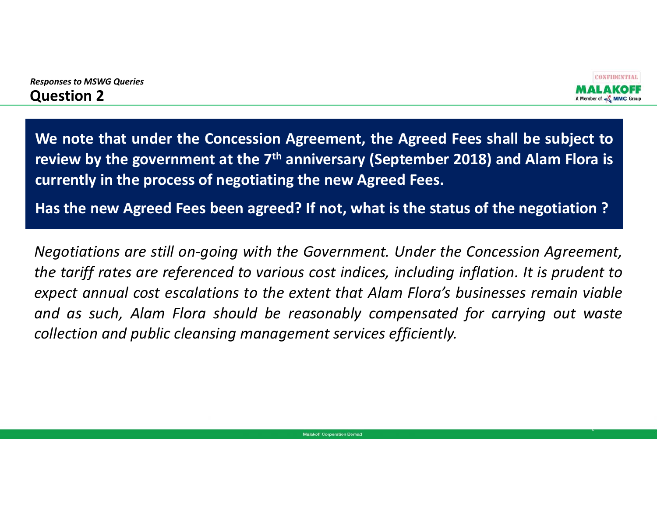



2

We note that under the Concession Agreement, the Agreed Fees shall be subject to review by the government at the 7<sup>th</sup> anniversary (September 2018) and Alam Flora is **currently in the process of negotiating the new Agreed Fees.**

Has the new Agreed Fees been agreed? If not, what is the status of the negotiation ?

Negotiations are still on-going with the Government. Under the Concession Agreement, the tariff rates are referenced to various cost indices, including inflation. It is prudent to expect annual cost escalations to the extent that Alam Flora's businesses remain viable and as such, Alam Flora should be reasonably compensated for carrying out waste *collection and public cleansing management services efficiently.*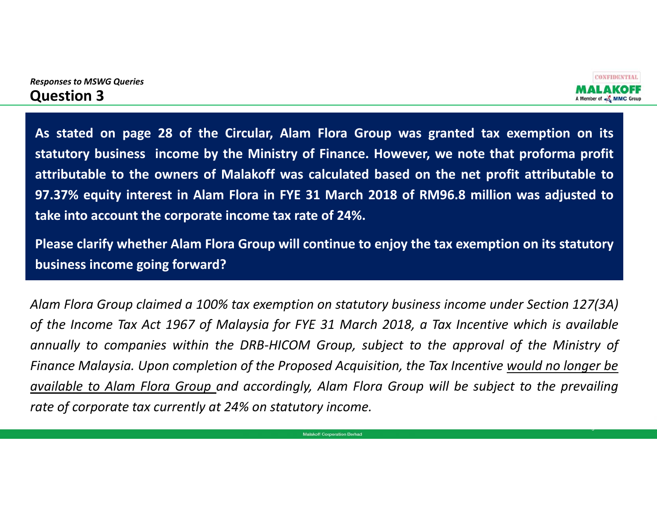



3

As stated on page 28 of the Circular, Alam Flora Group was granted tax exemption on its statutory business income by the Ministry of Finance. However, we note that proforma profit attributable to the owners of Malakoff was calculated based on the net profit attributable to 97.37% equity interest in Alam Flora in FYE 31 March 2018 of RM96.8 million was adjusted to **take into account the corporate income tax rate of 24%.**

Please clarify whether Alam Flora Group will continue to enjoy the tax exemption on its statutory **business income going forward?**

Alam Flora Group claimed a 100% tax exemption on statutory business income under Section 127(3A) of the Income Tax Act 1967 of Malaysia for FYE 31 March 2018, a Tax Incentive which is available annually to companies within the DRB-HICOM Group, subject to the approval of the Ministry of Finance Malaysia. Upon completion of the Proposed Acquisition, the Tax Incentive would no longer be available to Alam Flora Group and accordingly, Alam Flora Group will be subject to the prevailing *rate of corporate tax currently at 24% on statutory income.*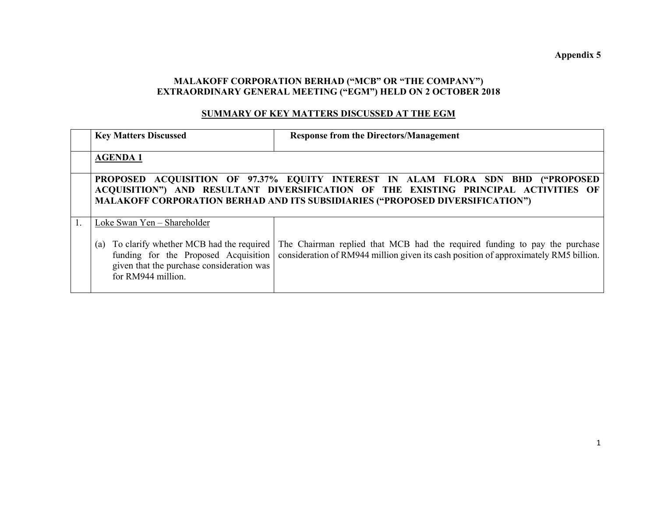## **MALAKOFF CORPORATION BERHAD ("MCB" OR "THE COMPANY") EXTRAORDINARY GENERAL MEETING ("EGM") HELD ON 2 OCTOBER 2018**

#### **SUMMARY OF KEY MATTERS DISCUSSED AT THE EGM**

| <b>Key Matters Discussed</b>                                                                                                                                                             | <b>Response from the Directors/Management</b>                                                                                                                                                                                                           |
|------------------------------------------------------------------------------------------------------------------------------------------------------------------------------------------|---------------------------------------------------------------------------------------------------------------------------------------------------------------------------------------------------------------------------------------------------------|
| <b>AGENDA1</b>                                                                                                                                                                           |                                                                                                                                                                                                                                                         |
|                                                                                                                                                                                          | PROPOSED ACQUISITION OF 97.37% EQUITY INTEREST IN ALAM FLORA SDN BHD ("PROPOSED<br>ACQUISITION") AND RESULTANT DIVERSIFICATION OF THE EXISTING PRINCIPAL ACTIVITIES OF<br>MALAKOFF CORPORATION BERHAD AND ITS SUBSIDIARIES ("PROPOSED DIVERSIFICATION") |
| Loke Swan Yen - Shareholder<br>To clarify whether MCB had the required<br>(a)<br>funding for the Proposed Acquisition<br>given that the purchase consideration was<br>for RM944 million. | The Chairman replied that MCB had the required funding to pay the purchase<br>consideration of RM944 million given its cash position of approximately RM5 billion.                                                                                      |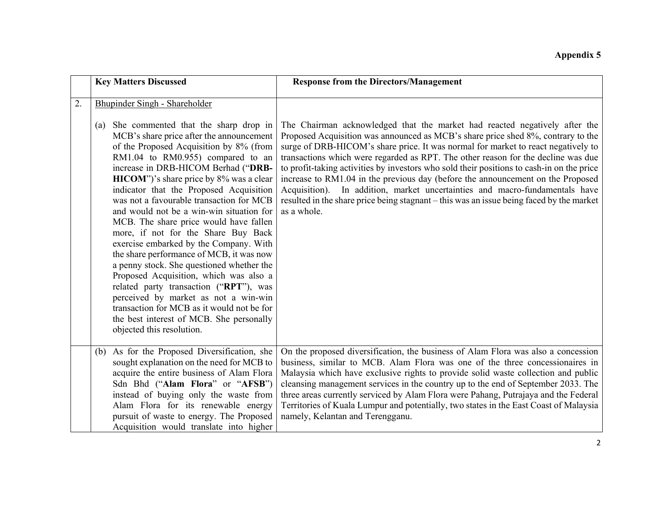|    | <b>Key Matters Discussed</b>                                                                                                                                                                                                                                                                                                                                                                                                                                                                                                                                                                                                                                                                                                                                                                                                                                                                         | <b>Response from the Directors/Management</b>                                                                                                                                                                                                                                                                                                                                                                                                                                                                                                                                                                                                                                                                         |
|----|------------------------------------------------------------------------------------------------------------------------------------------------------------------------------------------------------------------------------------------------------------------------------------------------------------------------------------------------------------------------------------------------------------------------------------------------------------------------------------------------------------------------------------------------------------------------------------------------------------------------------------------------------------------------------------------------------------------------------------------------------------------------------------------------------------------------------------------------------------------------------------------------------|-----------------------------------------------------------------------------------------------------------------------------------------------------------------------------------------------------------------------------------------------------------------------------------------------------------------------------------------------------------------------------------------------------------------------------------------------------------------------------------------------------------------------------------------------------------------------------------------------------------------------------------------------------------------------------------------------------------------------|
| 2. | Bhupinder Singh - Shareholder<br>She commented that the sharp drop in<br>(a)<br>MCB's share price after the announcement<br>of the Proposed Acquisition by 8% (from<br>RM1.04 to RM0.955) compared to an<br>increase in DRB-HICOM Berhad ("DRB-<br>HICOM")'s share price by 8% was a clear<br>indicator that the Proposed Acquisition<br>was not a favourable transaction for MCB<br>and would not be a win-win situation for<br>MCB. The share price would have fallen<br>more, if not for the Share Buy Back<br>exercise embarked by the Company. With<br>the share performance of MCB, it was now<br>a penny stock. She questioned whether the<br>Proposed Acquisition, which was also a<br>related party transaction ("RPT"), was<br>perceived by market as not a win-win<br>transaction for MCB as it would not be for<br>the best interest of MCB. She personally<br>objected this resolution. | The Chairman acknowledged that the market had reacted negatively after the<br>Proposed Acquisition was announced as MCB's share price shed 8%, contrary to the<br>surge of DRB-HICOM's share price. It was normal for market to react negatively to<br>transactions which were regarded as RPT. The other reason for the decline was due<br>to profit-taking activities by investors who sold their positions to cash-in on the price<br>increase to RM1.04 in the previous day (before the announcement on the Proposed<br>In addition, market uncertainties and macro-fundamentals have<br>Acquisition).<br>resulted in the share price being stagnant – this was an issue being faced by the market<br>as a whole. |
|    | (b) As for the Proposed Diversification, she<br>sought explanation on the need for MCB to<br>acquire the entire business of Alam Flora<br>Sdn Bhd ("Alam Flora" or "AFSB")<br>instead of buying only the waste from<br>Alam Flora for its renewable energy<br>pursuit of waste to energy. The Proposed<br>Acquisition would translate into higher                                                                                                                                                                                                                                                                                                                                                                                                                                                                                                                                                    | On the proposed diversification, the business of Alam Flora was also a concession<br>business, similar to MCB. Alam Flora was one of the three concessionaires in<br>Malaysia which have exclusive rights to provide solid waste collection and public<br>cleansing management services in the country up to the end of September 2033. The<br>three areas currently serviced by Alam Flora were Pahang, Putrajaya and the Federal<br>Territories of Kuala Lumpur and potentially, two states in the East Coast of Malaysia<br>namely, Kelantan and Terengganu.                                                                                                                                                       |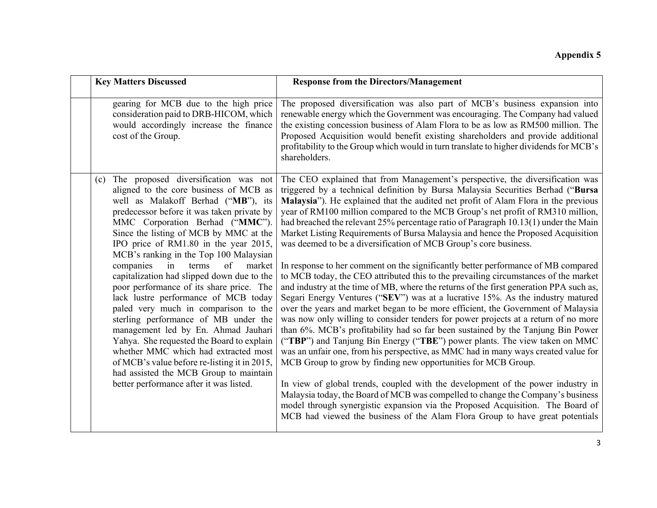|     | <b>Key Matters Discussed</b>                                                                                                                                                                                                                                                                                                                                                                                                                                                                                                                                                                                                                                                                                                                                                                                                                                       | <b>Response from the Directors/Management</b>                                                                                                                                                                                                                                                                                                                                                                                                                                                                                                                                                                                                                                                                                                                                                                                                                                                                                                                                                                                                                                                                                                                                                                                                                                                                                                                                                                                                                                                                                                                                                                                                                                                                                                                                             |
|-----|--------------------------------------------------------------------------------------------------------------------------------------------------------------------------------------------------------------------------------------------------------------------------------------------------------------------------------------------------------------------------------------------------------------------------------------------------------------------------------------------------------------------------------------------------------------------------------------------------------------------------------------------------------------------------------------------------------------------------------------------------------------------------------------------------------------------------------------------------------------------|-------------------------------------------------------------------------------------------------------------------------------------------------------------------------------------------------------------------------------------------------------------------------------------------------------------------------------------------------------------------------------------------------------------------------------------------------------------------------------------------------------------------------------------------------------------------------------------------------------------------------------------------------------------------------------------------------------------------------------------------------------------------------------------------------------------------------------------------------------------------------------------------------------------------------------------------------------------------------------------------------------------------------------------------------------------------------------------------------------------------------------------------------------------------------------------------------------------------------------------------------------------------------------------------------------------------------------------------------------------------------------------------------------------------------------------------------------------------------------------------------------------------------------------------------------------------------------------------------------------------------------------------------------------------------------------------------------------------------------------------------------------------------------------------|
|     | gearing for MCB due to the high price<br>consideration paid to DRB-HICOM, which<br>would accordingly increase the finance<br>cost of the Group.                                                                                                                                                                                                                                                                                                                                                                                                                                                                                                                                                                                                                                                                                                                    | The proposed diversification was also part of MCB's business expansion into<br>renewable energy which the Government was encouraging. The Company had valued<br>the existing concession business of Alam Flora to be as low as RM500 million. The<br>Proposed Acquisition would benefit existing shareholders and provide additional<br>profitability to the Group which would in turn translate to higher dividends for MCB's<br>shareholders.                                                                                                                                                                                                                                                                                                                                                                                                                                                                                                                                                                                                                                                                                                                                                                                                                                                                                                                                                                                                                                                                                                                                                                                                                                                                                                                                           |
| (c) | The proposed diversification was not<br>aligned to the core business of MCB as<br>well as Malakoff Berhad ("MB"), its<br>predecessor before it was taken private by<br>MMC Corporation Berhad ("MMC").<br>Since the listing of MCB by MMC at the<br>IPO price of RM1.80 in the year 2015,<br>MCB's ranking in the Top 100 Malaysian<br>of<br>companies<br>terms<br>market<br>in<br>capitalization had slipped down due to the<br>poor performance of its share price. The<br>lack lustre performance of MCB today<br>paled very much in comparison to the<br>sterling performance of MB under the<br>management led by En. Ahmad Jauhari<br>Yahya. She requested the Board to explain<br>whether MMC which had extracted most<br>of MCB's value before re-listing it in 2015,<br>had assisted the MCB Group to maintain<br>better performance after it was listed. | The CEO explained that from Management's perspective, the diversification was<br>triggered by a technical definition by Bursa Malaysia Securities Berhad ("Bursa<br>Malaysia"). He explained that the audited net profit of Alam Flora in the previous<br>year of RM100 million compared to the MCB Group's net profit of RM310 million,<br>had breached the relevant 25% percentage ratio of Paragraph 10.13(1) under the Main<br>Market Listing Requirements of Bursa Malaysia and hence the Proposed Acquisition<br>was deemed to be a diversification of MCB Group's core business.<br>In response to her comment on the significantly better performance of MB compared<br>to MCB today, the CEO attributed this to the prevailing circumstances of the market<br>and industry at the time of MB, where the returns of the first generation PPA such as,<br>Segari Energy Ventures ("SEV") was at a lucrative 15%. As the industry matured<br>over the years and market began to be more efficient, the Government of Malaysia<br>was now only willing to consider tenders for power projects at a return of no more<br>than 6%. MCB's profitability had so far been sustained by the Tanjung Bin Power<br>("TBP") and Tanjung Bin Energy ("TBE") power plants. The view taken on MMC<br>was an unfair one, from his perspective, as MMC had in many ways created value for<br>MCB Group to grow by finding new opportunities for MCB Group.<br>In view of global trends, coupled with the development of the power industry in<br>Malaysia today, the Board of MCB was compelled to change the Company's business<br>model through synergistic expansion via the Proposed Acquisition. The Board of<br>MCB had viewed the business of the Alam Flora Group to have great potentials |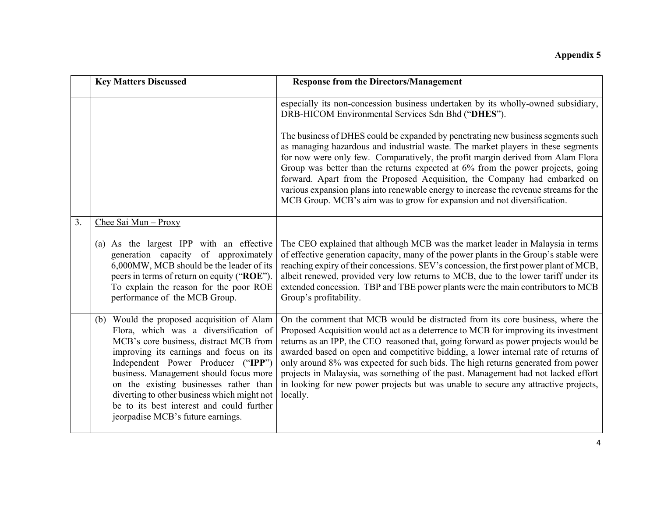|    | <b>Key Matters Discussed</b>                                                                                                                                                                                                                                                                                                                                                                                                        | <b>Response from the Directors/Management</b>                                                                                                                                                                                                                                                                                                                                                                                                                                                                                                                                                                               |
|----|-------------------------------------------------------------------------------------------------------------------------------------------------------------------------------------------------------------------------------------------------------------------------------------------------------------------------------------------------------------------------------------------------------------------------------------|-----------------------------------------------------------------------------------------------------------------------------------------------------------------------------------------------------------------------------------------------------------------------------------------------------------------------------------------------------------------------------------------------------------------------------------------------------------------------------------------------------------------------------------------------------------------------------------------------------------------------------|
|    |                                                                                                                                                                                                                                                                                                                                                                                                                                     |                                                                                                                                                                                                                                                                                                                                                                                                                                                                                                                                                                                                                             |
|    |                                                                                                                                                                                                                                                                                                                                                                                                                                     | especially its non-concession business undertaken by its wholly-owned subsidiary,<br>DRB-HICOM Environmental Services Sdn Bhd ("DHES").                                                                                                                                                                                                                                                                                                                                                                                                                                                                                     |
|    |                                                                                                                                                                                                                                                                                                                                                                                                                                     | The business of DHES could be expanded by penetrating new business segments such<br>as managing hazardous and industrial waste. The market players in these segments<br>for now were only few. Comparatively, the profit margin derived from Alam Flora<br>Group was better than the returns expected at 6% from the power projects, going<br>forward. Apart from the Proposed Acquisition, the Company had embarked on<br>various expansion plans into renewable energy to increase the revenue streams for the<br>MCB Group. MCB's aim was to grow for expansion and not diversification.                                 |
| 3. | Chee Sai Mun - Proxy                                                                                                                                                                                                                                                                                                                                                                                                                |                                                                                                                                                                                                                                                                                                                                                                                                                                                                                                                                                                                                                             |
|    | (a) As the largest IPP with an effective<br>generation capacity of approximately<br>6,000MW, MCB should be the leader of its<br>peers in terms of return on equity ("ROE").<br>To explain the reason for the poor ROE<br>performance of the MCB Group.                                                                                                                                                                              | The CEO explained that although MCB was the market leader in Malaysia in terms<br>of effective generation capacity, many of the power plants in the Group's stable were<br>reaching expiry of their concessions. SEV's concession, the first power plant of MCB,<br>albeit renewed, provided very low returns to MCB, due to the lower tariff under its<br>extended concession. TBP and TBE power plants were the main contributors to MCB<br>Group's profitability.                                                                                                                                                        |
|    | (b) Would the proposed acquisition of Alam<br>Flora, which was a diversification of<br>MCB's core business, distract MCB from<br>improving its earnings and focus on its<br>Independent Power Producer ("IPP")<br>business. Management should focus more<br>on the existing businesses rather than<br>diverting to other business which might not<br>be to its best interest and could further<br>jeorpadise MCB's future earnings. | On the comment that MCB would be distracted from its core business, where the<br>Proposed Acquisition would act as a deterrence to MCB for improving its investment<br>returns as an IPP, the CEO reasoned that, going forward as power projects would be<br>awarded based on open and competitive bidding, a lower internal rate of returns of<br>only around 8% was expected for such bids. The high returns generated from power<br>projects in Malaysia, was something of the past. Management had not lacked effort<br>in looking for new power projects but was unable to secure any attractive projects,<br>locally. |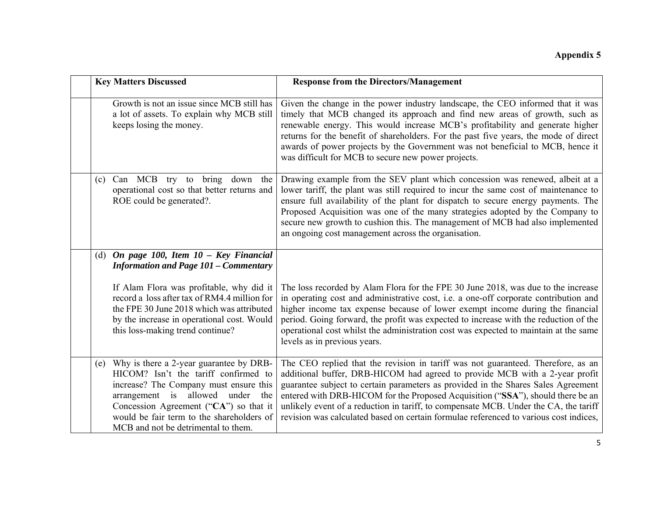| <b>Key Matters Discussed</b>                                                                                                                                                                                                                                                                       | <b>Response from the Directors/Management</b>                                                                                                                                                                                                                                                                                                                                                                                                                                                                            |
|----------------------------------------------------------------------------------------------------------------------------------------------------------------------------------------------------------------------------------------------------------------------------------------------------|--------------------------------------------------------------------------------------------------------------------------------------------------------------------------------------------------------------------------------------------------------------------------------------------------------------------------------------------------------------------------------------------------------------------------------------------------------------------------------------------------------------------------|
| Growth is not an issue since MCB still has<br>a lot of assets. To explain why MCB still<br>keeps losing the money.                                                                                                                                                                                 | Given the change in the power industry landscape, the CEO informed that it was<br>timely that MCB changed its approach and find new areas of growth, such as<br>renewable energy. This would increase MCB's profitability and generate higher<br>returns for the benefit of shareholders. For the past five years, the mode of direct<br>awards of power projects by the Government was not beneficial to MCB, hence it<br>was difficult for MCB to secure new power projects.                                           |
| (c) Can MCB try to bring down<br>the<br>operational cost so that better returns and<br>ROE could be generated?.                                                                                                                                                                                    | Drawing example from the SEV plant which concession was renewed, albeit at a<br>lower tariff, the plant was still required to incur the same cost of maintenance to<br>ensure full availability of the plant for dispatch to secure energy payments. The<br>Proposed Acquisition was one of the many strategies adopted by the Company to<br>secure new growth to cushion this. The management of MCB had also implemented<br>an ongoing cost management across the organisation.                                        |
| (d) On page 100, Item $10$ – Key Financial<br><b>Information and Page 101 - Commentary</b>                                                                                                                                                                                                         |                                                                                                                                                                                                                                                                                                                                                                                                                                                                                                                          |
| If Alam Flora was profitable, why did it<br>record a loss after tax of RM4.4 million for<br>the FPE 30 June 2018 which was attributed<br>by the increase in operational cost. Would<br>this loss-making trend continue?                                                                            | The loss recorded by Alam Flora for the FPE 30 June 2018, was due to the increase<br>in operating cost and administrative cost, i.e. a one-off corporate contribution and<br>higher income tax expense because of lower exempt income during the financial<br>period. Going forward, the profit was expected to increase with the reduction of the<br>operational cost whilst the administration cost was expected to maintain at the same<br>levels as in previous years.                                               |
| (e) Why is there a 2-year guarantee by DRB-<br>HICOM? Isn't the tariff confirmed to<br>increase? The Company must ensure this<br>arrangement is allowed under<br>the<br>Concession Agreement ("CA") so that it<br>would be fair term to the shareholders of<br>MCB and not be detrimental to them. | The CEO replied that the revision in tariff was not guaranteed. Therefore, as an<br>additional buffer, DRB-HICOM had agreed to provide MCB with a 2-year profit<br>guarantee subject to certain parameters as provided in the Shares Sales Agreement<br>entered with DRB-HICOM for the Proposed Acquisition ("SSA"), should there be an<br>unlikely event of a reduction in tariff, to compensate MCB. Under the CA, the tariff<br>revision was calculated based on certain formulae referenced to various cost indices, |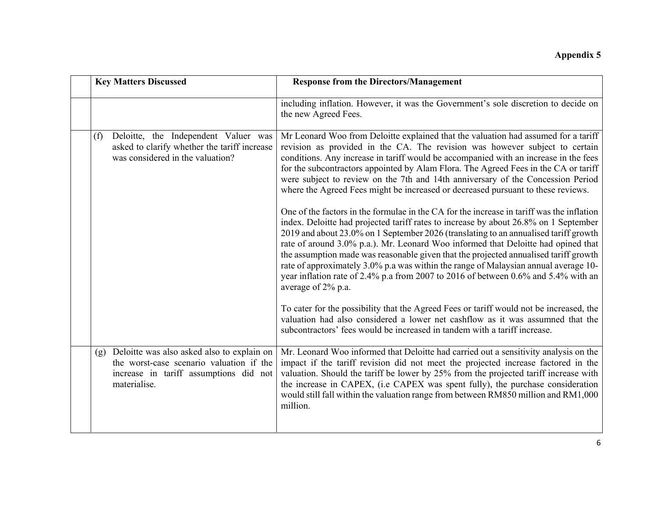| <b>Key Matters Discussed</b>                                                                                                                            | <b>Response from the Directors/Management</b>                                                                                                                                                                                                                                                                                                                                                                                                                                                                                                                                                                                                                                                                                                                                                                                                                                                                                                                                                                                                                                                                                                                                        |
|---------------------------------------------------------------------------------------------------------------------------------------------------------|--------------------------------------------------------------------------------------------------------------------------------------------------------------------------------------------------------------------------------------------------------------------------------------------------------------------------------------------------------------------------------------------------------------------------------------------------------------------------------------------------------------------------------------------------------------------------------------------------------------------------------------------------------------------------------------------------------------------------------------------------------------------------------------------------------------------------------------------------------------------------------------------------------------------------------------------------------------------------------------------------------------------------------------------------------------------------------------------------------------------------------------------------------------------------------------|
|                                                                                                                                                         | including inflation. However, it was the Government's sole discretion to decide on<br>the new Agreed Fees.                                                                                                                                                                                                                                                                                                                                                                                                                                                                                                                                                                                                                                                                                                                                                                                                                                                                                                                                                                                                                                                                           |
| Deloitte, the Independent Valuer was<br>(f)<br>asked to clarify whether the tariff increase<br>was considered in the valuation?                         | Mr Leonard Woo from Deloitte explained that the valuation had assumed for a tariff<br>revision as provided in the CA. The revision was however subject to certain<br>conditions. Any increase in tariff would be accompanied with an increase in the fees<br>for the subcontractors appointed by Alam Flora. The Agreed Fees in the CA or tariff<br>were subject to review on the 7th and 14th anniversary of the Concession Period<br>where the Agreed Fees might be increased or decreased pursuant to these reviews.<br>One of the factors in the formulae in the CA for the increase in tariff was the inflation<br>index. Deloitte had projected tariff rates to increase by about 26.8% on 1 September<br>2019 and about 23.0% on 1 September 2026 (translating to an annualised tariff growth<br>rate of around 3.0% p.a.). Mr. Leonard Woo informed that Deloitte had opined that<br>the assumption made was reasonable given that the projected annualised tariff growth<br>rate of approximately 3.0% p.a was within the range of Malaysian annual average 10-<br>year inflation rate of 2.4% p.a from 2007 to 2016 of between 0.6% and 5.4% with an<br>average of 2% p.a. |
|                                                                                                                                                         | To cater for the possibility that the Agreed Fees or tariff would not be increased, the<br>valuation had also considered a lower net cashflow as it was assumned that the<br>subcontractors' fees would be increased in tandem with a tariff increase.                                                                                                                                                                                                                                                                                                                                                                                                                                                                                                                                                                                                                                                                                                                                                                                                                                                                                                                               |
| Deloitte was also asked also to explain on<br>(g)<br>the worst-case scenario valuation if the<br>increase in tariff assumptions did not<br>materialise. | Mr. Leonard Woo informed that Deloitte had carried out a sensitivity analysis on the<br>impact if the tariff revision did not meet the projected increase factored in the<br>valuation. Should the tariff be lower by 25% from the projected tariff increase with<br>the increase in CAPEX, (i.e CAPEX was spent fully), the purchase consideration<br>would still fall within the valuation range from between RM850 million and RM1,000<br>million.                                                                                                                                                                                                                                                                                                                                                                                                                                                                                                                                                                                                                                                                                                                                |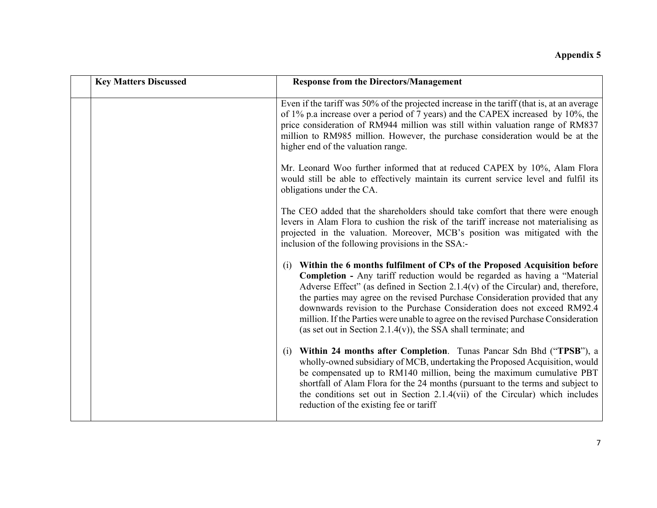| <b>Key Matters Discussed</b> | <b>Response from the Directors/Management</b>                                                                                                                                                                                                                                                                                                                                                                                                                                                                                                                            |
|------------------------------|--------------------------------------------------------------------------------------------------------------------------------------------------------------------------------------------------------------------------------------------------------------------------------------------------------------------------------------------------------------------------------------------------------------------------------------------------------------------------------------------------------------------------------------------------------------------------|
|                              | Even if the tariff was 50% of the projected increase in the tariff (that is, at an average<br>of 1% p.a increase over a period of 7 years) and the CAPEX increased by 10%, the<br>price consideration of RM944 million was still within valuation range of RM837<br>million to RM985 million. However, the purchase consideration would be at the<br>higher end of the valuation range.                                                                                                                                                                                  |
|                              | Mr. Leonard Woo further informed that at reduced CAPEX by 10%, Alam Flora<br>would still be able to effectively maintain its current service level and fulfil its<br>obligations under the CA.                                                                                                                                                                                                                                                                                                                                                                           |
|                              | The CEO added that the shareholders should take comfort that there were enough<br>levers in Alam Flora to cushion the risk of the tariff increase not materialising as<br>projected in the valuation. Moreover, MCB's position was mitigated with the<br>inclusion of the following provisions in the SSA:-                                                                                                                                                                                                                                                              |
|                              | Within the 6 months fulfilment of CPs of the Proposed Acquisition before<br>(i)<br>Completion - Any tariff reduction would be regarded as having a "Material<br>Adverse Effect" (as defined in Section 2.1.4( $v$ ) of the Circular) and, therefore,<br>the parties may agree on the revised Purchase Consideration provided that any<br>downwards revision to the Purchase Consideration does not exceed RM92.4<br>million. If the Parties were unable to agree on the revised Purchase Consideration<br>(as set out in Section 2.1.4(v)), the SSA shall terminate; and |
|                              | Within 24 months after Completion. Tunas Pancar Sdn Bhd ("TPSB"), a<br>$\left( 1\right)$<br>wholly-owned subsidiary of MCB, undertaking the Proposed Acquisition, would<br>be compensated up to RM140 million, being the maximum cumulative PBT<br>shortfall of Alam Flora for the 24 months (pursuant to the terms and subject to<br>the conditions set out in Section 2.1.4(vii) of the Circular) which includes<br>reduction of the existing fee or tariff                                                                                                            |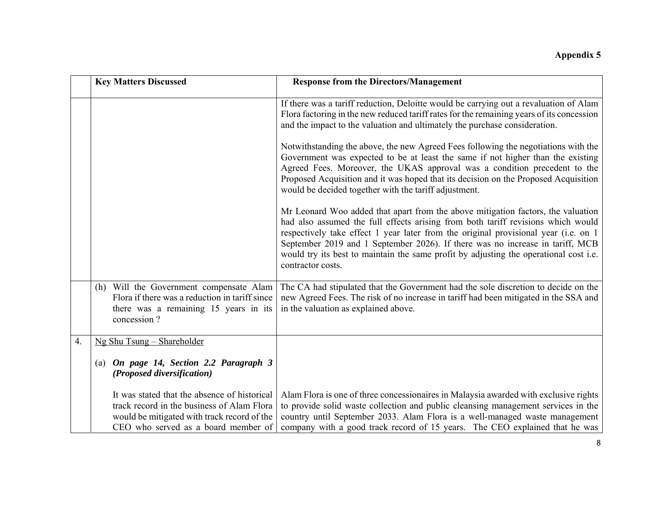|                  | <b>Key Matters Discussed</b>                                                                                                                                                     | <b>Response from the Directors/Management</b>                                                                                                                                                                                                                                                                                                                                                                                                              |
|------------------|----------------------------------------------------------------------------------------------------------------------------------------------------------------------------------|------------------------------------------------------------------------------------------------------------------------------------------------------------------------------------------------------------------------------------------------------------------------------------------------------------------------------------------------------------------------------------------------------------------------------------------------------------|
|                  |                                                                                                                                                                                  | If there was a tariff reduction, Deloitte would be carrying out a revaluation of Alam<br>Flora factoring in the new reduced tariff rates for the remaining years of its concession<br>and the impact to the valuation and ultimately the purchase consideration.                                                                                                                                                                                           |
|                  |                                                                                                                                                                                  | Notwithstanding the above, the new Agreed Fees following the negotiations with the<br>Government was expected to be at least the same if not higher than the existing<br>Agreed Fees. Moreover, the UKAS approval was a condition precedent to the<br>Proposed Acquisition and it was hoped that its decision on the Proposed Acquisition<br>would be decided together with the tariff adjustment.                                                         |
|                  |                                                                                                                                                                                  | Mr Leonard Woo added that apart from the above mitigation factors, the valuation<br>had also assumed the full effects arising from both tariff revisions which would<br>respectively take effect 1 year later from the original provisional year (i.e. on 1<br>September 2019 and 1 September 2026). If there was no increase in tariff, MCB<br>would try its best to maintain the same profit by adjusting the operational cost i.e.<br>contractor costs. |
|                  | (h) Will the Government compensate Alam<br>Flora if there was a reduction in tariff since<br>there was a remaining 15 years in its<br>concession?                                | The CA had stipulated that the Government had the sole discretion to decide on the<br>new Agreed Fees. The risk of no increase in tariff had been mitigated in the SSA and<br>in the valuation as explained above.                                                                                                                                                                                                                                         |
| $\overline{4}$ . | Ng Shu Tsung - Shareholder                                                                                                                                                       |                                                                                                                                                                                                                                                                                                                                                                                                                                                            |
|                  | (a) On page 14, Section 2.2 Paragraph 3<br>(Proposed diversification)                                                                                                            |                                                                                                                                                                                                                                                                                                                                                                                                                                                            |
|                  | It was stated that the absence of historical<br>track record in the business of Alam Flora<br>would be mitigated with track record of the<br>CEO who served as a board member of | Alam Flora is one of three concessionaires in Malaysia awarded with exclusive rights<br>to provide solid waste collection and public cleansing management services in the<br>country until September 2033. Alam Flora is a well-managed waste management<br>company with a good track record of 15 years. The CEO explained that he was                                                                                                                    |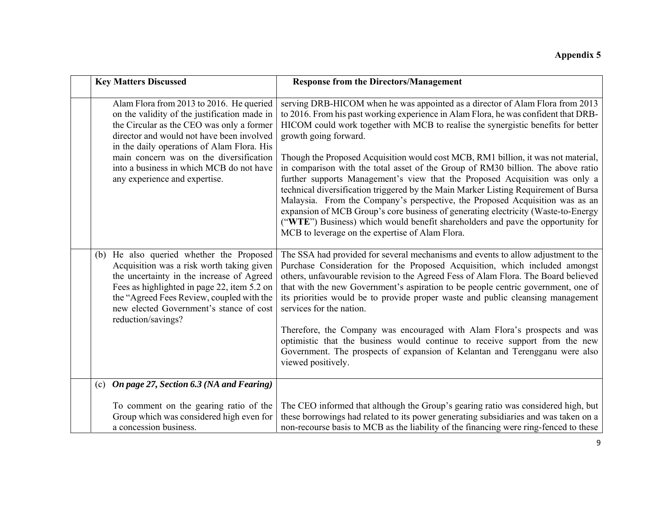| <b>Key Matters Discussed</b>                                                                                                                                                                                                                                                                                                                             | <b>Response from the Directors/Management</b>                                                                                                                                                                                                                                                                                                                                                                                                                                                                                                                                                                                                                                                                                                                                                                                                                                                                                                |
|----------------------------------------------------------------------------------------------------------------------------------------------------------------------------------------------------------------------------------------------------------------------------------------------------------------------------------------------------------|----------------------------------------------------------------------------------------------------------------------------------------------------------------------------------------------------------------------------------------------------------------------------------------------------------------------------------------------------------------------------------------------------------------------------------------------------------------------------------------------------------------------------------------------------------------------------------------------------------------------------------------------------------------------------------------------------------------------------------------------------------------------------------------------------------------------------------------------------------------------------------------------------------------------------------------------|
|                                                                                                                                                                                                                                                                                                                                                          |                                                                                                                                                                                                                                                                                                                                                                                                                                                                                                                                                                                                                                                                                                                                                                                                                                                                                                                                              |
| Alam Flora from 2013 to 2016. He queried<br>on the validity of the justification made in<br>the Circular as the CEO was only a former<br>director and would not have been involved<br>in the daily operations of Alam Flora. His<br>main concern was on the diversification<br>into a business in which MCB do not have<br>any experience and expertise. | serving DRB-HICOM when he was appointed as a director of Alam Flora from 2013<br>to 2016. From his past working experience in Alam Flora, he was confident that DRB-<br>HICOM could work together with MCB to realise the synergistic benefits for better<br>growth going forward.<br>Though the Proposed Acquisition would cost MCB, RM1 billion, it was not material,<br>in comparison with the total asset of the Group of RM30 billion. The above ratio<br>further supports Management's view that the Proposed Acquisition was only a<br>technical diversification triggered by the Main Marker Listing Requirement of Bursa<br>Malaysia. From the Company's perspective, the Proposed Acquisition was as an<br>expansion of MCB Group's core business of generating electricity (Waste-to-Energy<br>("WTE") Business) which would benefit shareholders and pave the opportunity for<br>MCB to leverage on the expertise of Alam Flora. |
| (b) He also queried whether the Proposed<br>Acquisition was a risk worth taking given<br>the uncertainty in the increase of Agreed<br>Fees as highlighted in page 22, item 5.2 on<br>the "Agreed Fees Review, coupled with the<br>new elected Government's stance of cost<br>reduction/savings?                                                          | The SSA had provided for several mechanisms and events to allow adjustment to the<br>Purchase Consideration for the Proposed Acquisition, which included amongst<br>others, unfavourable revision to the Agreed Fess of Alam Flora. The Board believed<br>that with the new Government's aspiration to be people centric government, one of<br>its priorities would be to provide proper waste and public cleansing management<br>services for the nation.<br>Therefore, the Company was encouraged with Alam Flora's prospects and was<br>optimistic that the business would continue to receive support from the new<br>Government. The prospects of expansion of Kelantan and Terengganu were also<br>viewed positively.                                                                                                                                                                                                                  |
| (c) On page 27, Section 6.3 (NA and Fearing)                                                                                                                                                                                                                                                                                                             |                                                                                                                                                                                                                                                                                                                                                                                                                                                                                                                                                                                                                                                                                                                                                                                                                                                                                                                                              |
| To comment on the gearing ratio of the<br>Group which was considered high even for<br>a concession business.                                                                                                                                                                                                                                             | The CEO informed that although the Group's gearing ratio was considered high, but<br>these borrowings had related to its power generating subsidiaries and was taken on a<br>non-recourse basis to MCB as the liability of the financing were ring-fenced to these                                                                                                                                                                                                                                                                                                                                                                                                                                                                                                                                                                                                                                                                           |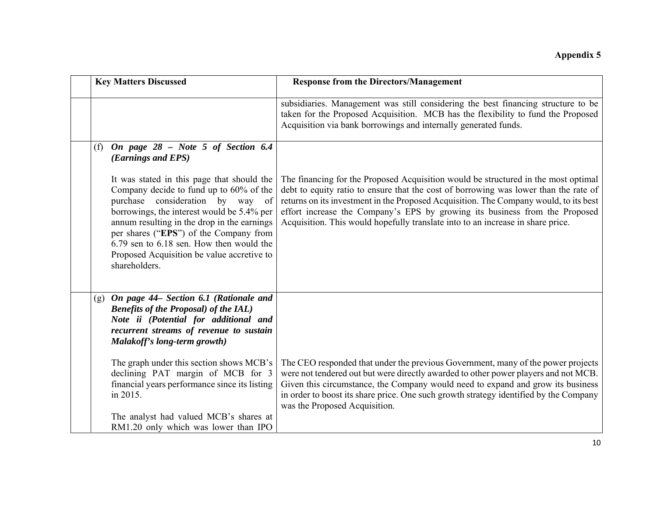| <b>Key Matters Discussed</b>                                                                                                                                                                                                                                                                                                                                                | <b>Response from the Directors/Management</b>                                                                                                                                                                                                                                                                                                                                                                                         |
|-----------------------------------------------------------------------------------------------------------------------------------------------------------------------------------------------------------------------------------------------------------------------------------------------------------------------------------------------------------------------------|---------------------------------------------------------------------------------------------------------------------------------------------------------------------------------------------------------------------------------------------------------------------------------------------------------------------------------------------------------------------------------------------------------------------------------------|
|                                                                                                                                                                                                                                                                                                                                                                             | subsidiaries. Management was still considering the best financing structure to be<br>taken for the Proposed Acquisition. MCB has the flexibility to fund the Proposed<br>Acquisition via bank borrowings and internally generated funds.                                                                                                                                                                                              |
| On page 28 - Note 5 of Section 6.4<br>(f)<br>(Earnings and EPS)                                                                                                                                                                                                                                                                                                             |                                                                                                                                                                                                                                                                                                                                                                                                                                       |
| It was stated in this page that should the<br>Company decide to fund up to 60% of the<br>purchase consideration by way of<br>borrowings, the interest would be 5.4% per<br>annum resulting in the drop in the earnings<br>per shares ("EPS") of the Company from<br>6.79 sen to 6.18 sen. How then would the<br>Proposed Acquisition be value accretive to<br>shareholders. | The financing for the Proposed Acquisition would be structured in the most optimal<br>debt to equity ratio to ensure that the cost of borrowing was lower than the rate of<br>returns on its investment in the Proposed Acquisition. The Company would, to its best<br>effort increase the Company's EPS by growing its business from the Proposed<br>Acquisition. This would hopefully translate into to an increase in share price. |
| On page 44– Section 6.1 (Rationale and<br>(g)<br><b>Benefits of the Proposal) of the IAL)</b><br>Note ii (Potential for additional and<br>recurrent streams of revenue to sustain<br>Malakoff's long-term growth)                                                                                                                                                           |                                                                                                                                                                                                                                                                                                                                                                                                                                       |
| The graph under this section shows MCB's<br>declining PAT margin of MCB for 3<br>financial years performance since its listing<br>in 2015.                                                                                                                                                                                                                                  | The CEO responded that under the previous Government, many of the power projects<br>were not tendered out but were directly awarded to other power players and not MCB.<br>Given this circumstance, the Company would need to expand and grow its business<br>in order to boost its share price. One such growth strategy identified by the Company<br>was the Proposed Acquisition.                                                  |
| The analyst had valued MCB's shares at<br>RM1.20 only which was lower than IPO                                                                                                                                                                                                                                                                                              |                                                                                                                                                                                                                                                                                                                                                                                                                                       |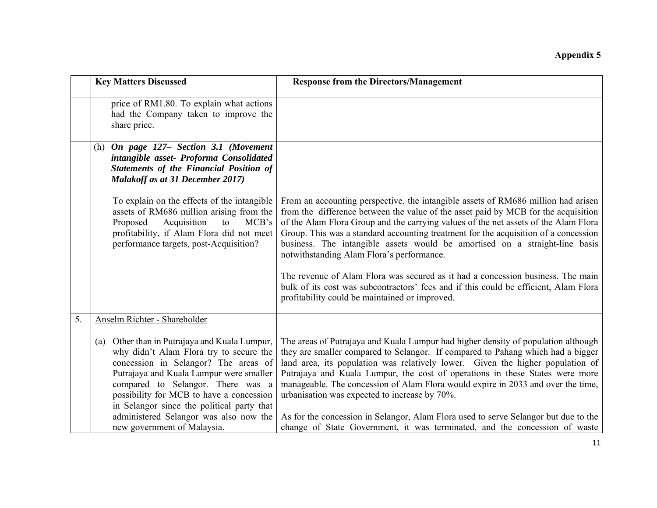|    | <b>Key Matters Discussed</b>                                                                                                                                                                                                                                                                               | <b>Response from the Directors/Management</b>                                                                                                                                                                                                                                                                                                                                                                                                                                     |
|----|------------------------------------------------------------------------------------------------------------------------------------------------------------------------------------------------------------------------------------------------------------------------------------------------------------|-----------------------------------------------------------------------------------------------------------------------------------------------------------------------------------------------------------------------------------------------------------------------------------------------------------------------------------------------------------------------------------------------------------------------------------------------------------------------------------|
|    | price of RM1.80. To explain what actions<br>had the Company taken to improve the<br>share price.                                                                                                                                                                                                           |                                                                                                                                                                                                                                                                                                                                                                                                                                                                                   |
|    | (h) On page 127- Section 3.1 (Movement<br>intangible asset- Proforma Consolidated<br><b>Statements of the Financial Position of</b><br><b>Malakoff as at 31 December 2017)</b>                                                                                                                             |                                                                                                                                                                                                                                                                                                                                                                                                                                                                                   |
|    | To explain on the effects of the intangible<br>assets of RM686 million arising from the<br>Acquisition<br>Proposed<br>to<br>MCB's<br>profitability, if Alam Flora did not meet<br>performance targets, post-Acquisition?                                                                                   | From an accounting perspective, the intangible assets of RM686 million had arisen<br>from the difference between the value of the asset paid by MCB for the acquisition<br>of the Alam Flora Group and the carrying values of the net assets of the Alam Flora<br>Group. This was a standard accounting treatment for the acquisition of a concession<br>business. The intangible assets would be amortised on a straight-line basis<br>notwithstanding Alam Flora's performance. |
|    |                                                                                                                                                                                                                                                                                                            | The revenue of Alam Flora was secured as it had a concession business. The main<br>bulk of its cost was subcontractors' fees and if this could be efficient, Alam Flora<br>profitability could be maintained or improved.                                                                                                                                                                                                                                                         |
| 5. | Anselm Richter - Shareholder                                                                                                                                                                                                                                                                               |                                                                                                                                                                                                                                                                                                                                                                                                                                                                                   |
|    | (a) Other than in Putrajaya and Kuala Lumpur,<br>why didn't Alam Flora try to secure the<br>concession in Selangor? The areas of<br>Putrajaya and Kuala Lumpur were smaller<br>compared to Selangor. There was a<br>possibility for MCB to have a concession<br>in Selangor since the political party that | The areas of Putrajaya and Kuala Lumpur had higher density of population although<br>they are smaller compared to Selangor. If compared to Pahang which had a bigger<br>land area, its population was relatively lower. Given the higher population of<br>Putrajaya and Kuala Lumpur, the cost of operations in these States were more<br>manageable. The concession of Alam Flora would expire in 2033 and over the time,<br>urbanisation was expected to increase by 70%.       |
|    | administered Selangor was also now the<br>new government of Malaysia.                                                                                                                                                                                                                                      | As for the concession in Selangor, Alam Flora used to serve Selangor but due to the<br>change of State Government, it was terminated, and the concession of waste                                                                                                                                                                                                                                                                                                                 |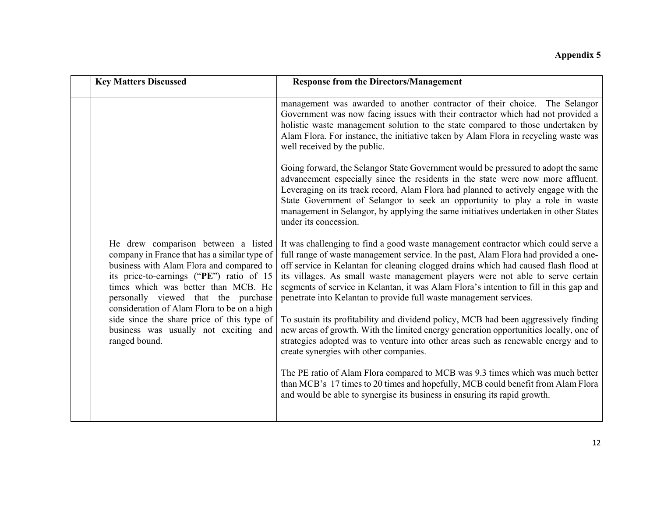| <b>Key Matters Discussed</b>                                                                                                                                                                                                                              | <b>Response from the Directors/Management</b>                                                                                                                                                                                                                                                                                                                                                                                                                                                                     |
|-----------------------------------------------------------------------------------------------------------------------------------------------------------------------------------------------------------------------------------------------------------|-------------------------------------------------------------------------------------------------------------------------------------------------------------------------------------------------------------------------------------------------------------------------------------------------------------------------------------------------------------------------------------------------------------------------------------------------------------------------------------------------------------------|
|                                                                                                                                                                                                                                                           | management was awarded to another contractor of their choice. The Selangor<br>Government was now facing issues with their contractor which had not provided a<br>holistic waste management solution to the state compared to those undertaken by<br>Alam Flora. For instance, the initiative taken by Alam Flora in recycling waste was<br>well received by the public.                                                                                                                                           |
|                                                                                                                                                                                                                                                           | Going forward, the Selangor State Government would be pressured to adopt the same<br>advancement especially since the residents in the state were now more affluent.<br>Leveraging on its track record, Alam Flora had planned to actively engage with the<br>State Government of Selangor to seek an opportunity to play a role in waste<br>management in Selangor, by applying the same initiatives undertaken in other States<br>under its concession.                                                         |
| He drew comparison between a listed<br>company in France that has a similar type of<br>business with Alam Flora and compared to<br>its price-to-earnings ("PE") ratio of 15<br>times which was better than MCB. He<br>personally viewed that the purchase | It was challenging to find a good waste management contractor which could serve a<br>full range of waste management service. In the past, Alam Flora had provided a one-<br>off service in Kelantan for cleaning clogged drains which had caused flash flood at<br>its villages. As small waste management players were not able to serve certain<br>segments of service in Kelantan, it was Alam Flora's intention to fill in this gap and<br>penetrate into Kelantan to provide full waste management services. |
| consideration of Alam Flora to be on a high<br>side since the share price of this type of<br>business was usually not exciting and<br>ranged bound.                                                                                                       | To sustain its profitability and dividend policy, MCB had been aggressively finding<br>new areas of growth. With the limited energy generation opportunities locally, one of<br>strategies adopted was to venture into other areas such as renewable energy and to<br>create synergies with other companies.                                                                                                                                                                                                      |
|                                                                                                                                                                                                                                                           | The PE ratio of Alam Flora compared to MCB was 9.3 times which was much better<br>than MCB's 17 times to 20 times and hopefully, MCB could benefit from Alam Flora<br>and would be able to synergise its business in ensuring its rapid growth.                                                                                                                                                                                                                                                                   |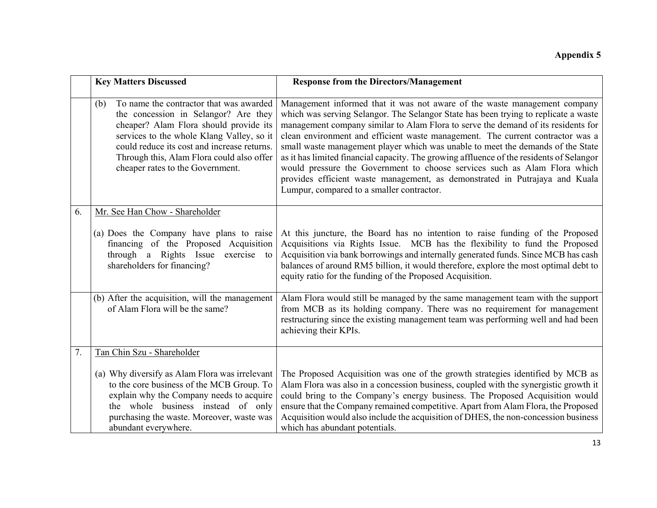|    | <b>Key Matters Discussed</b>                                                                                                                                                                                                                                                                                  | <b>Response from the Directors/Management</b>                                                                                                                                                                                                                                                                                                                                                                                                                                                                                                                                                                                                                                                                                   |
|----|---------------------------------------------------------------------------------------------------------------------------------------------------------------------------------------------------------------------------------------------------------------------------------------------------------------|---------------------------------------------------------------------------------------------------------------------------------------------------------------------------------------------------------------------------------------------------------------------------------------------------------------------------------------------------------------------------------------------------------------------------------------------------------------------------------------------------------------------------------------------------------------------------------------------------------------------------------------------------------------------------------------------------------------------------------|
|    | To name the contractor that was awarded<br>(b)<br>the concession in Selangor? Are they<br>cheaper? Alam Flora should provide its<br>services to the whole Klang Valley, so it<br>could reduce its cost and increase returns.<br>Through this, Alam Flora could also offer<br>cheaper rates to the Government. | Management informed that it was not aware of the waste management company<br>which was serving Selangor. The Selangor State has been trying to replicate a waste<br>management company similar to Alam Flora to serve the demand of its residents for<br>clean environment and efficient waste management. The current contractor was a<br>small waste management player which was unable to meet the demands of the State<br>as it has limited financial capacity. The growing affluence of the residents of Selangor<br>would pressure the Government to choose services such as Alam Flora which<br>provides efficient waste management, as demonstrated in Putrajaya and Kuala<br>Lumpur, compared to a smaller contractor. |
| 6. | Mr. See Han Chow - Shareholder<br>(a) Does the Company have plans to raise<br>financing of the Proposed Acquisition<br>through a Rights Issue<br>exercise to<br>shareholders for financing?                                                                                                                   | At this juncture, the Board has no intention to raise funding of the Proposed<br>Acquisitions via Rights Issue. MCB has the flexibility to fund the Proposed<br>Acquisition via bank borrowings and internally generated funds. Since MCB has cash<br>balances of around RM5 billion, it would therefore, explore the most optimal debt to<br>equity ratio for the funding of the Proposed Acquisition.                                                                                                                                                                                                                                                                                                                         |
|    | (b) After the acquisition, will the management<br>of Alam Flora will be the same?                                                                                                                                                                                                                             | Alam Flora would still be managed by the same management team with the support<br>from MCB as its holding company. There was no requirement for management<br>restructuring since the existing management team was performing well and had been<br>achieving their KPIs.                                                                                                                                                                                                                                                                                                                                                                                                                                                        |
| 7. | Tan Chin Szu - Shareholder                                                                                                                                                                                                                                                                                    |                                                                                                                                                                                                                                                                                                                                                                                                                                                                                                                                                                                                                                                                                                                                 |
|    | (a) Why diversify as Alam Flora was irrelevant<br>to the core business of the MCB Group. To<br>explain why the Company needs to acquire<br>the whole business instead of only<br>purchasing the waste. Moreover, waste was<br>abundant everywhere.                                                            | The Proposed Acquisition was one of the growth strategies identified by MCB as<br>Alam Flora was also in a concession business, coupled with the synergistic growth it<br>could bring to the Company's energy business. The Proposed Acquisition would<br>ensure that the Company remained competitive. Apart from Alam Flora, the Proposed<br>Acquisition would also include the acquisition of DHES, the non-concession business<br>which has abundant potentials.                                                                                                                                                                                                                                                            |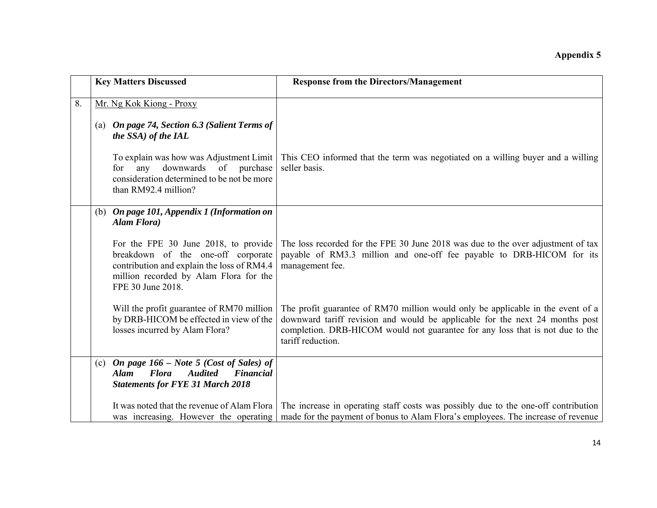|    | <b>Key Matters Discussed</b>                                                                                                                                                            | <b>Response from the Directors/Management</b>                                                                                                                                                                                                                         |
|----|-----------------------------------------------------------------------------------------------------------------------------------------------------------------------------------------|-----------------------------------------------------------------------------------------------------------------------------------------------------------------------------------------------------------------------------------------------------------------------|
| 8. | Mr. Ng Kok Kiong - Proxy<br>(a) On page 74, Section 6.3 (Salient Terms of<br>the SSA) of the IAL                                                                                        |                                                                                                                                                                                                                                                                       |
|    | To explain was how was Adjustment Limit<br>downwards<br>of<br>purchase<br>any<br>for<br>consideration determined to be not be more<br>than RM92.4 million?                              | This CEO informed that the term was negotiated on a willing buyer and a willing<br>seller basis.                                                                                                                                                                      |
|    | (b) On page 101, Appendix 1 (Information on<br>Alam Flora)                                                                                                                              |                                                                                                                                                                                                                                                                       |
|    | For the FPE 30 June 2018, to provide<br>breakdown of the one-off corporate<br>contribution and explain the loss of RM4.4<br>million recorded by Alam Flora for the<br>FPE 30 June 2018. | The loss recorded for the FPE 30 June 2018 was due to the over adjustment of tax<br>payable of RM3.3 million and one-off fee payable to DRB-HICOM for its<br>management fee.                                                                                          |
|    | Will the profit guarantee of RM70 million<br>by DRB-HICOM be effected in view of the<br>losses incurred by Alam Flora?                                                                  | The profit guarantee of RM70 million would only be applicable in the event of a<br>downward tariff revision and would be applicable for the next 24 months post<br>completion. DRB-HICOM would not guarantee for any loss that is not due to the<br>tariff reduction. |
|    | (c) On page $166$ – Note 5 (Cost of Sales) of<br><b>Flora</b><br><b>Audited</b><br><b>Financial</b><br><b>Alam</b><br><b>Statements for FYE 31 March 2018</b>                           |                                                                                                                                                                                                                                                                       |
|    | It was noted that the revenue of Alam Flora<br>was increasing. However the operating                                                                                                    | The increase in operating staff costs was possibly due to the one-off contribution<br>made for the payment of bonus to Alam Flora's employees. The increase of revenue                                                                                                |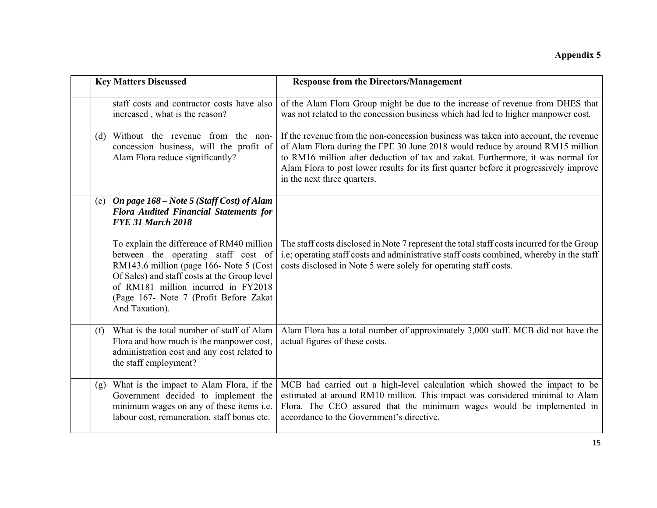|     | <b>Key Matters Discussed</b>                                                                                                                                                                                                                                                   | <b>Response from the Directors/Management</b>                                                                                                                                                                                                                                                                                                                                     |
|-----|--------------------------------------------------------------------------------------------------------------------------------------------------------------------------------------------------------------------------------------------------------------------------------|-----------------------------------------------------------------------------------------------------------------------------------------------------------------------------------------------------------------------------------------------------------------------------------------------------------------------------------------------------------------------------------|
|     | staff costs and contractor costs have also<br>increased, what is the reason?                                                                                                                                                                                                   | of the Alam Flora Group might be due to the increase of revenue from DHES that<br>was not related to the concession business which had led to higher manpower cost.                                                                                                                                                                                                               |
| (d) | Without the revenue from the non-<br>concession business, will the profit of<br>Alam Flora reduce significantly?                                                                                                                                                               | If the revenue from the non-concession business was taken into account, the revenue<br>of Alam Flora during the FPE 30 June 2018 would reduce by around RM15 million<br>to RM16 million after deduction of tax and zakat. Furthermore, it was normal for<br>Alam Flora to post lower results for its first quarter before it progressively improve<br>in the next three quarters. |
|     | (e) On page 168 - Note 5 (Staff Cost) of Alam<br><b>Flora Audited Financial Statements for</b><br><b>FYE 31 March 2018</b>                                                                                                                                                     |                                                                                                                                                                                                                                                                                                                                                                                   |
|     | To explain the difference of RM40 million<br>between the operating staff cost of<br>RM143.6 million (page 166- Note 5 (Cost<br>Of Sales) and staff costs at the Group level<br>of RM181 million incurred in FY2018<br>(Page 167- Note 7 (Profit Before Zakat<br>And Taxation). | The staff costs disclosed in Note 7 represent the total staff costs incurred for the Group<br>i.e; operating staff costs and administrative staff costs combined, whereby in the staff<br>costs disclosed in Note 5 were solely for operating staff costs.                                                                                                                        |
| (f) | What is the total number of staff of Alam<br>Flora and how much is the manpower cost,<br>administration cost and any cost related to<br>the staff employment?                                                                                                                  | Alam Flora has a total number of approximately 3,000 staff. MCB did not have the<br>actual figures of these costs.                                                                                                                                                                                                                                                                |
| (g) | What is the impact to Alam Flora, if the<br>Government decided to implement the<br>minimum wages on any of these items i.e.<br>labour cost, remuneration, staff bonus etc.                                                                                                     | MCB had carried out a high-level calculation which showed the impact to be<br>estimated at around RM10 million. This impact was considered minimal to Alam<br>Flora. The CEO assured that the minimum wages would be implemented in<br>accordance to the Government's directive.                                                                                                  |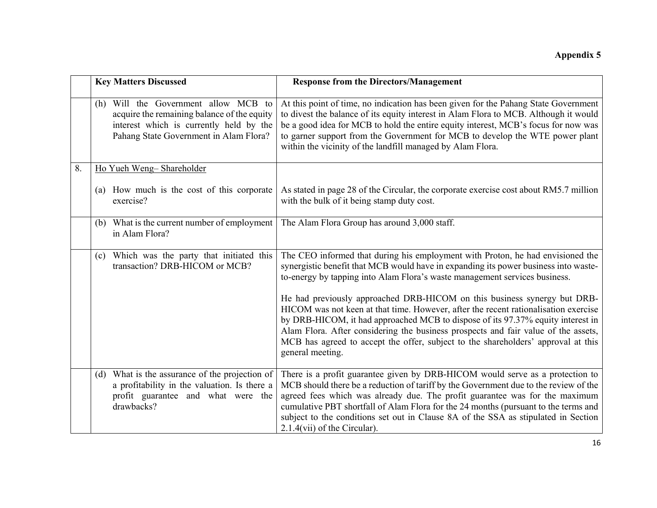|    | <b>Key Matters Discussed</b>                                                                                                                                             | <b>Response from the Directors/Management</b>                                                                                                                                                                                                                                                                                                                                                                                                                        |
|----|--------------------------------------------------------------------------------------------------------------------------------------------------------------------------|----------------------------------------------------------------------------------------------------------------------------------------------------------------------------------------------------------------------------------------------------------------------------------------------------------------------------------------------------------------------------------------------------------------------------------------------------------------------|
|    | (h) Will the Government allow MCB to<br>acquire the remaining balance of the equity<br>interest which is currently held by the<br>Pahang State Government in Alam Flora? | At this point of time, no indication has been given for the Pahang State Government<br>to divest the balance of its equity interest in Alam Flora to MCB. Although it would<br>be a good idea for MCB to hold the entire equity interest, MCB's focus for now was<br>to garner support from the Government for MCB to develop the WTE power plant<br>within the vicinity of the landfill managed by Alam Flora.                                                      |
| 8. | Ho Yueh Weng-Shareholder                                                                                                                                                 |                                                                                                                                                                                                                                                                                                                                                                                                                                                                      |
|    | (a) How much is the cost of this corporate<br>exercise?                                                                                                                  | As stated in page 28 of the Circular, the corporate exercise cost about RM5.7 million<br>with the bulk of it being stamp duty cost.                                                                                                                                                                                                                                                                                                                                  |
|    | (b) What is the current number of employment<br>in Alam Flora?                                                                                                           | The Alam Flora Group has around 3,000 staff.                                                                                                                                                                                                                                                                                                                                                                                                                         |
|    | (c) Which was the party that initiated this<br>transaction? DRB-HICOM or MCB?                                                                                            | The CEO informed that during his employment with Proton, he had envisioned the<br>synergistic benefit that MCB would have in expanding its power business into waste-<br>to-energy by tapping into Alam Flora's waste management services business.                                                                                                                                                                                                                  |
|    |                                                                                                                                                                          | He had previously approached DRB-HICOM on this business synergy but DRB-<br>HICOM was not keen at that time. However, after the recent rationalisation exercise<br>by DRB-HICOM, it had approached MCB to dispose of its 97.37% equity interest in<br>Alam Flora. After considering the business prospects and fair value of the assets,<br>MCB has agreed to accept the offer, subject to the shareholders' approval at this<br>general meeting.                    |
|    | (d) What is the assurance of the projection of<br>a profitability in the valuation. Is there a<br>profit guarantee and what were the<br>drawbacks?                       | There is a profit guarantee given by DRB-HICOM would serve as a protection to<br>MCB should there be a reduction of tariff by the Government due to the review of the<br>agreed fees which was already due. The profit guarantee was for the maximum<br>cumulative PBT shortfall of Alam Flora for the 24 months (pursuant to the terms and<br>subject to the conditions set out in Clause 8A of the SSA as stipulated in Section<br>$2.1.4$ (vii) of the Circular). |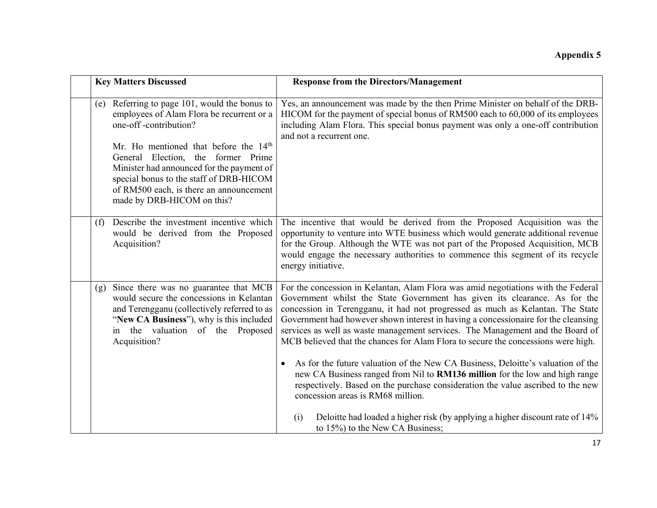|     | <b>Key Matters Discussed</b>                                                                                                                                                                                                                             | <b>Response from the Directors/Management</b>                                                                                                                                                                                                                                                                                                                                                                                                                                                                                                                                                                                                                                                 |
|-----|----------------------------------------------------------------------------------------------------------------------------------------------------------------------------------------------------------------------------------------------------------|-----------------------------------------------------------------------------------------------------------------------------------------------------------------------------------------------------------------------------------------------------------------------------------------------------------------------------------------------------------------------------------------------------------------------------------------------------------------------------------------------------------------------------------------------------------------------------------------------------------------------------------------------------------------------------------------------|
| (e) | Referring to page 101, would the bonus to<br>employees of Alam Flora be recurrent or a<br>one-off-contribution?                                                                                                                                          | Yes, an announcement was made by the then Prime Minister on behalf of the DRB-<br>HICOM for the payment of special bonus of RM500 each to 60,000 of its employees<br>including Alam Flora. This special bonus payment was only a one-off contribution<br>and not a recurrent one.                                                                                                                                                                                                                                                                                                                                                                                                             |
|     | Mr. Ho mentioned that before the 14 <sup>th</sup><br>General Election, the former Prime<br>Minister had announced for the payment of<br>special bonus to the staff of DRB-HICOM<br>of RM500 each, is there an announcement<br>made by DRB-HICOM on this? |                                                                                                                                                                                                                                                                                                                                                                                                                                                                                                                                                                                                                                                                                               |
| (f) | Describe the investment incentive which<br>would be derived from the Proposed<br>Acquisition?                                                                                                                                                            | The incentive that would be derived from the Proposed Acquisition was the<br>opportunity to venture into WTE business which would generate additional revenue<br>for the Group. Although the WTE was not part of the Proposed Acquisition, MCB<br>would engage the necessary authorities to commence this segment of its recycle<br>energy initiative.                                                                                                                                                                                                                                                                                                                                        |
| (g) | Since there was no guarantee that MCB<br>would secure the concessions in Kelantan<br>and Terengganu (collectively referred to as<br>"New CA Business"), why is this included<br>in the valuation of the Proposed<br>Acquisition?                         | For the concession in Kelantan, Alam Flora was amid negotiations with the Federal<br>Government whilst the State Government has given its clearance. As for the<br>concession in Terengganu, it had not progressed as much as Kelantan. The State<br>Government had however shown interest in having a concessionaire for the cleansing<br>services as well as waste management services. The Management and the Board of<br>MCB believed that the chances for Alam Flora to secure the concessions were high.<br>As for the future valuation of the New CA Business, Deloitte's valuation of the<br>$\bullet$<br>new CA Business ranged from Nil to RM136 million for the low and high range |
|     |                                                                                                                                                                                                                                                          | respectively. Based on the purchase consideration the value ascribed to the new<br>concession areas is RM68 million.<br>Deloitte had loaded a higher risk (by applying a higher discount rate of 14%<br>(i)<br>to 15%) to the New CA Business;                                                                                                                                                                                                                                                                                                                                                                                                                                                |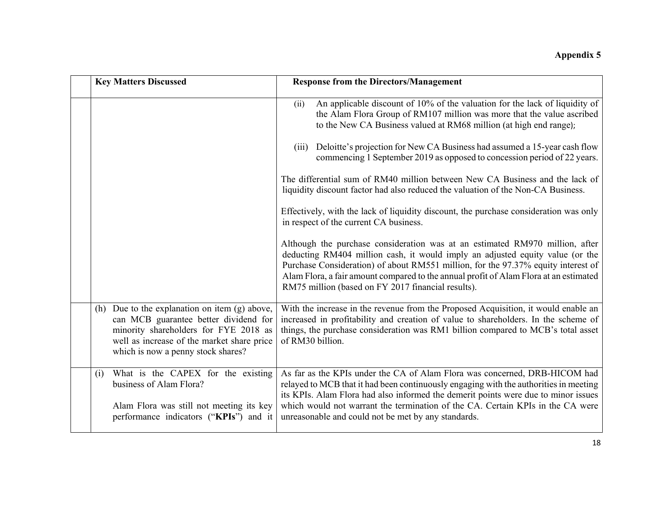| <b>Key Matters Discussed</b>                                                                                                                                                                                             | <b>Response from the Directors/Management</b>                                                                                                                                                                                                                                                                                                                                                      |
|--------------------------------------------------------------------------------------------------------------------------------------------------------------------------------------------------------------------------|----------------------------------------------------------------------------------------------------------------------------------------------------------------------------------------------------------------------------------------------------------------------------------------------------------------------------------------------------------------------------------------------------|
|                                                                                                                                                                                                                          | An applicable discount of 10% of the valuation for the lack of liquidity of<br>(ii)<br>the Alam Flora Group of RM107 million was more that the value ascribed<br>to the New CA Business valued at RM68 million (at high end range);                                                                                                                                                                |
|                                                                                                                                                                                                                          | Deloitte's projection for New CA Business had assumed a 15-year cash flow<br>(111)<br>commencing 1 September 2019 as opposed to concession period of 22 years.                                                                                                                                                                                                                                     |
|                                                                                                                                                                                                                          | The differential sum of RM40 million between New CA Business and the lack of<br>liquidity discount factor had also reduced the valuation of the Non-CA Business.                                                                                                                                                                                                                                   |
|                                                                                                                                                                                                                          | Effectively, with the lack of liquidity discount, the purchase consideration was only<br>in respect of the current CA business.                                                                                                                                                                                                                                                                    |
|                                                                                                                                                                                                                          | Although the purchase consideration was at an estimated RM970 million, after<br>deducting RM404 million cash, it would imply an adjusted equity value (or the<br>Purchase Consideration) of about RM551 million, for the 97.37% equity interest of<br>Alam Flora, a fair amount compared to the annual profit of Alam Flora at an estimated<br>RM75 million (based on FY 2017 financial results).  |
| Due to the explanation on item $(g)$ above,<br>(h)<br>can MCB guarantee better dividend for<br>minority shareholders for FYE 2018 as<br>well as increase of the market share price<br>which is now a penny stock shares? | With the increase in the revenue from the Proposed Acquisition, it would enable an<br>increased in profitability and creation of value to shareholders. In the scheme of<br>things, the purchase consideration was RM1 billion compared to MCB's total asset<br>of RM30 billion.                                                                                                                   |
| What is the CAPEX for the existing<br>(i)<br>business of Alam Flora?<br>Alam Flora was still not meeting its key<br>performance indicators ("KPIs") and it                                                               | As far as the KPIs under the CA of Alam Flora was concerned, DRB-HICOM had<br>relayed to MCB that it had been continuously engaging with the authorities in meeting<br>its KPIs. Alam Flora had also informed the demerit points were due to minor issues<br>which would not warrant the termination of the CA. Certain KPIs in the CA were<br>unreasonable and could not be met by any standards. |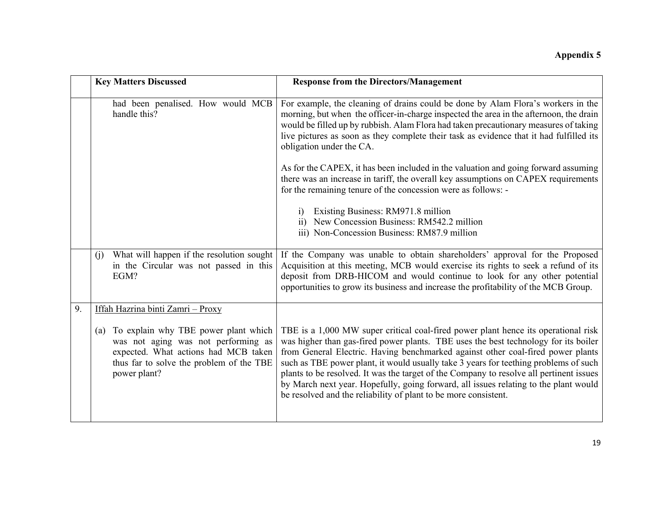|    | <b>Key Matters Discussed</b>                                                                                                                                                           | <b>Response from the Directors/Management</b>                                                                                                                                                                                                                                                                                                                                                                                                                                                                                                                                                              |
|----|----------------------------------------------------------------------------------------------------------------------------------------------------------------------------------------|------------------------------------------------------------------------------------------------------------------------------------------------------------------------------------------------------------------------------------------------------------------------------------------------------------------------------------------------------------------------------------------------------------------------------------------------------------------------------------------------------------------------------------------------------------------------------------------------------------|
|    | had been penalised. How would MCB<br>handle this?                                                                                                                                      | For example, the cleaning of drains could be done by Alam Flora's workers in the<br>morning, but when the officer-in-charge inspected the area in the afternoon, the drain<br>would be filled up by rubbish. Alam Flora had taken precautionary measures of taking<br>live pictures as soon as they complete their task as evidence that it had fulfilled its<br>obligation under the CA.                                                                                                                                                                                                                  |
|    |                                                                                                                                                                                        | As for the CAPEX, it has been included in the valuation and going forward assuming<br>there was an increase in tariff, the overall key assumptions on CAPEX requirements<br>for the remaining tenure of the concession were as follows: -                                                                                                                                                                                                                                                                                                                                                                  |
|    |                                                                                                                                                                                        | Existing Business: RM971.8 million<br>$\overline{1}$                                                                                                                                                                                                                                                                                                                                                                                                                                                                                                                                                       |
|    |                                                                                                                                                                                        | New Concession Business: RM542.2 million<br>$\overline{11}$<br>iii) Non-Concession Business: RM87.9 million                                                                                                                                                                                                                                                                                                                                                                                                                                                                                                |
|    | What will happen if the resolution sought<br>(i)<br>in the Circular was not passed in this<br>EGM?                                                                                     | If the Company was unable to obtain shareholders' approval for the Proposed<br>Acquisition at this meeting, MCB would exercise its rights to seek a refund of its<br>deposit from DRB-HICOM and would continue to look for any other potential<br>opportunities to grow its business and increase the profitability of the MCB Group.                                                                                                                                                                                                                                                                      |
| 9. | Iffah Hazrina binti Zamri - Proxy                                                                                                                                                      |                                                                                                                                                                                                                                                                                                                                                                                                                                                                                                                                                                                                            |
|    | To explain why TBE power plant which<br>(a)<br>was not aging was not performing as<br>expected. What actions had MCB taken<br>thus far to solve the problem of the TBE<br>power plant? | TBE is a 1,000 MW super critical coal-fired power plant hence its operational risk<br>was higher than gas-fired power plants. TBE uses the best technology for its boiler<br>from General Electric. Having benchmarked against other coal-fired power plants<br>such as TBE power plant, it would usually take 3 years for teething problems of such<br>plants to be resolved. It was the target of the Company to resolve all pertinent issues<br>by March next year. Hopefully, going forward, all issues relating to the plant would<br>be resolved and the reliability of plant to be more consistent. |